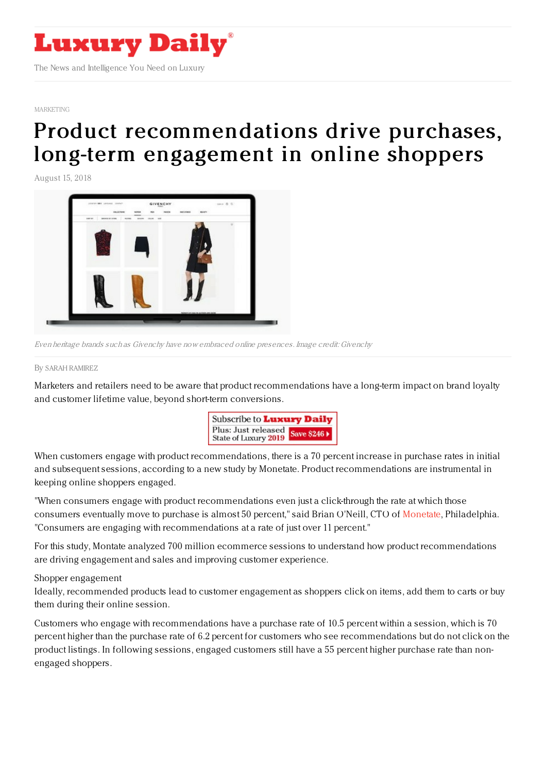

[MARKETING](https://www.luxurydaily.com/category/sectors/marketing-industry-sectors/)

## Product [recommendations](https://www.luxurydaily.com/monetate-recommended-products/) drive purchases, long-term engagement in online shoppers

August 15, 2018



Even heritage brands such as Givenchy have now embraced online presences. Image credit: Givenchy

By SARAH [RAMIREZ](file:///author/sarah-ramirez)

Marketers and retailers need to be aware that product recommendations have a long-term impact on brand loyalty and customer lifetime value, beyond short-term conversions.



When customers engage with product recommendations, there is a 70 percent increase in purchase rates in initial and subsequent sessions, according to a new study by Monetate. Product recommendations are instrumental in keeping online shoppers engaged.

"When consumers engage with product recommendations even just a click-through the rate at which those consumers eventually move to purchase is almost 50 percent," said Brian O'Neill, CTO of [Monetate](https://www.monetate.com), Philadelphia. "Consumers are engaging with recommendations at a rate of just over 11 percent."

For this study, Montate analyzed 700 million ecommerce sessions to understand how product recommendations are driving engagement and sales and improving customer experience.

## Shopper engagement

Ideally, recommended products lead to customer engagement as shoppers click on items, add them to carts or buy them during their online session.

Customers who engage with recommendations have a purchase rate of 10.5 percent within a session, which is 70 percent higher than the purchase rate of 6.2 percent for customers who see recommendations but do not click on the product listings. In following sessions, engaged customers still have a 55 percent higher purchase rate than nonengaged shoppers.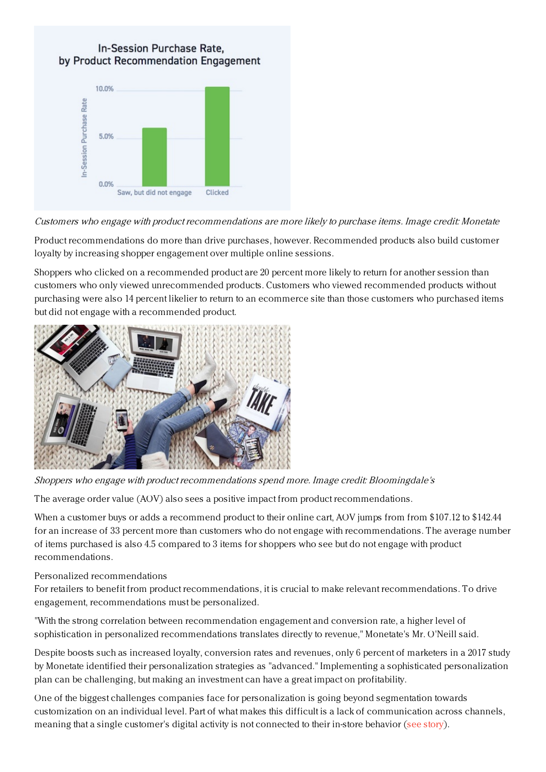## In-Session Purchase Rate. by Product Recommendation Engagement



Customers who engage with product recommendations are more likely to purchase items. Image credit: Monetate

Product recommendations do more than drive purchases, however. Recommended products also build customer loyalty by increasing shopper engagement over multiple online sessions.

Shoppers who clicked on a recommended product are 20 percent more likely to return for another session than customers who only viewed unrecommended products. Customers who viewed recommended products without purchasing were also 14 percent likelier to return to an ecommerce site than those customers who purchased items but did not engage with a recommended product.



Shoppers who engage with product recommendations spend more. Image credit: Bloomingdale's

The average order value (AOV) also sees a positive impact from product recommendations.

When a customer buys or adds a recommend product to their online cart, AOV jumps from from \$107.12 to \$142.44 for an increase of 33 percent more than customers who do not engage with recommendations. The average number of items purchased is also 4.5 compared to 3 items for shoppers who see but do not engage with product recommendations.

## Personalized recommendations

For retailers to benefit from product recommendations, it is crucial to make relevant recommendations. To drive engagement, recommendations must be personalized.

"With the strong correlation between recommendation engagement and conversion rate, a higher level of sophistication in personalized recommendations translates directly to revenue," Monetate's Mr. O'Neill said.

Despite boosts such as increased loyalty, conversion rates and revenues, only 6 percent of marketers in a 2017 study by Monetate identified their personalization strategies as "advanced." Implementing a sophisticated personalization plan can be challenging, but making an investment can have a great impact on profitability.

One of the biggest challenges companies face for personalization is going beyond segmentation towards customization on an individual level. Part of what makes this difficult is a lack of communication across channels, meaning that a single customer's digital activity is not connected to their in-store behavior (see [story](https://www.luxurydaily.com/68pc-of-marketers-struggle-to-achieve-real-time-view-of-customer/)).